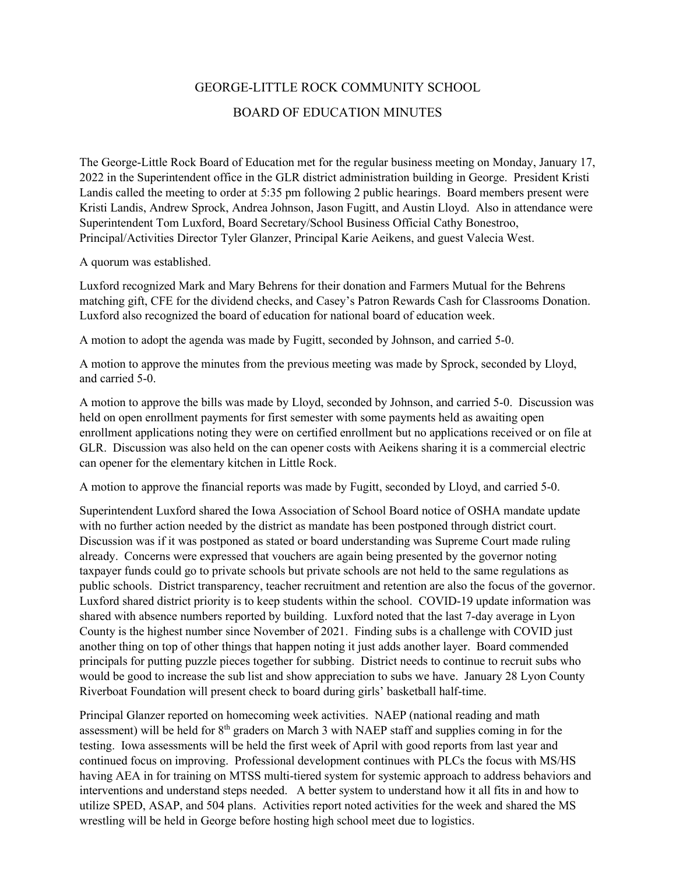## GEORGE-LITTLE ROCK COMMUNITY SCHOOL BOARD OF EDUCATION MINUTES

The George-Little Rock Board of Education met for the regular business meeting on Monday, January 17, 2022 in the Superintendent office in the GLR district administration building in George. President Kristi Landis called the meeting to order at 5:35 pm following 2 public hearings. Board members present were Kristi Landis, Andrew Sprock, Andrea Johnson, Jason Fugitt, and Austin Lloyd. Also in attendance were Superintendent Tom Luxford, Board Secretary/School Business Official Cathy Bonestroo, Principal/Activities Director Tyler Glanzer, Principal Karie Aeikens, and guest Valecia West.

A quorum was established.

Luxford recognized Mark and Mary Behrens for their donation and Farmers Mutual for the Behrens matching gift, CFE for the dividend checks, and Casey's Patron Rewards Cash for Classrooms Donation. Luxford also recognized the board of education for national board of education week.

A motion to adopt the agenda was made by Fugitt, seconded by Johnson, and carried 5-0.

A motion to approve the minutes from the previous meeting was made by Sprock, seconded by Lloyd, and carried 5-0.

A motion to approve the bills was made by Lloyd, seconded by Johnson, and carried 5-0. Discussion was held on open enrollment payments for first semester with some payments held as awaiting open enrollment applications noting they were on certified enrollment but no applications received or on file at GLR. Discussion was also held on the can opener costs with Aeikens sharing it is a commercial electric can opener for the elementary kitchen in Little Rock.

A motion to approve the financial reports was made by Fugitt, seconded by Lloyd, and carried 5-0.

Superintendent Luxford shared the Iowa Association of School Board notice of OSHA mandate update with no further action needed by the district as mandate has been postponed through district court. Discussion was if it was postponed as stated or board understanding was Supreme Court made ruling already. Concerns were expressed that vouchers are again being presented by the governor noting taxpayer funds could go to private schools but private schools are not held to the same regulations as public schools. District transparency, teacher recruitment and retention are also the focus of the governor. Luxford shared district priority is to keep students within the school. COVID-19 update information was shared with absence numbers reported by building. Luxford noted that the last 7-day average in Lyon County is the highest number since November of 2021. Finding subs is a challenge with COVID just another thing on top of other things that happen noting it just adds another layer. Board commended principals for putting puzzle pieces together for subbing. District needs to continue to recruit subs who would be good to increase the sub list and show appreciation to subs we have. January 28 Lyon County Riverboat Foundation will present check to board during girls' basketball half-time.

Principal Glanzer reported on homecoming week activities. NAEP (national reading and math assessment) will be held for 8<sup>th</sup> graders on March 3 with NAEP staff and supplies coming in for the testing. Iowa assessments will be held the first week of April with good reports from last year and continued focus on improving. Professional development continues with PLCs the focus with MS/HS having AEA in for training on MTSS multi-tiered system for systemic approach to address behaviors and interventions and understand steps needed. A better system to understand how it all fits in and how to utilize SPED, ASAP, and 504 plans. Activities report noted activities for the week and shared the MS wrestling will be held in George before hosting high school meet due to logistics.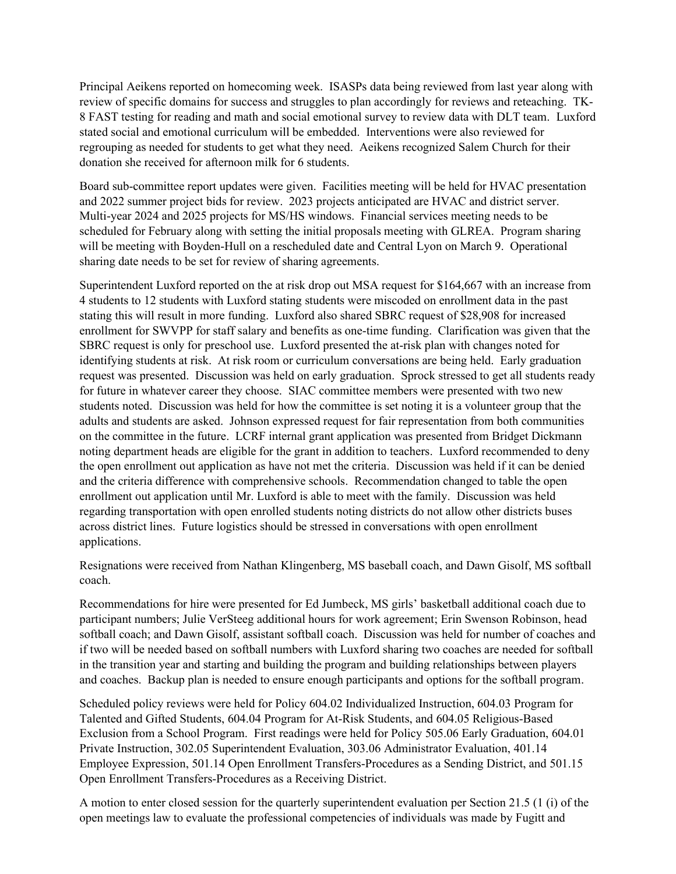Principal Aeikens reported on homecoming week. ISASPs data being reviewed from last year along with review of specific domains for success and struggles to plan accordingly for reviews and reteaching. TK-8 FAST testing for reading and math and social emotional survey to review data with DLT team. Luxford stated social and emotional curriculum will be embedded. Interventions were also reviewed for regrouping as needed for students to get what they need. Aeikens recognized Salem Church for their donation she received for afternoon milk for 6 students.

Board sub-committee report updates were given. Facilities meeting will be held for HVAC presentation and 2022 summer project bids for review. 2023 projects anticipated are HVAC and district server. Multi-year 2024 and 2025 projects for MS/HS windows. Financial services meeting needs to be scheduled for February along with setting the initial proposals meeting with GLREA. Program sharing will be meeting with Boyden-Hull on a rescheduled date and Central Lyon on March 9. Operational sharing date needs to be set for review of sharing agreements.

Superintendent Luxford reported on the at risk drop out MSA request for \$164,667 with an increase from 4 students to 12 students with Luxford stating students were miscoded on enrollment data in the past stating this will result in more funding. Luxford also shared SBRC request of \$28,908 for increased enrollment for SWVPP for staff salary and benefits as one-time funding. Clarification was given that the SBRC request is only for preschool use. Luxford presented the at-risk plan with changes noted for identifying students at risk. At risk room or curriculum conversations are being held. Early graduation request was presented. Discussion was held on early graduation. Sprock stressed to get all students ready for future in whatever career they choose. SIAC committee members were presented with two new students noted. Discussion was held for how the committee is set noting it is a volunteer group that the adults and students are asked. Johnson expressed request for fair representation from both communities on the committee in the future. LCRF internal grant application was presented from Bridget Dickmann noting department heads are eligible for the grant in addition to teachers. Luxford recommended to deny the open enrollment out application as have not met the criteria. Discussion was held if it can be denied and the criteria difference with comprehensive schools. Recommendation changed to table the open enrollment out application until Mr. Luxford is able to meet with the family. Discussion was held regarding transportation with open enrolled students noting districts do not allow other districts buses across district lines. Future logistics should be stressed in conversations with open enrollment applications.

Resignations were received from Nathan Klingenberg, MS baseball coach, and Dawn Gisolf, MS softball coach.

Recommendations for hire were presented for Ed Jumbeck, MS girls' basketball additional coach due to participant numbers; Julie VerSteeg additional hours for work agreement; Erin Swenson Robinson, head softball coach; and Dawn Gisolf, assistant softball coach. Discussion was held for number of coaches and if two will be needed based on softball numbers with Luxford sharing two coaches are needed for softball in the transition year and starting and building the program and building relationships between players and coaches. Backup plan is needed to ensure enough participants and options for the softball program.

Scheduled policy reviews were held for Policy 604.02 Individualized Instruction, 604.03 Program for Talented and Gifted Students, 604.04 Program for At-Risk Students, and 604.05 Religious-Based Exclusion from a School Program. First readings were held for Policy 505.06 Early Graduation, 604.01 Private Instruction, 302.05 Superintendent Evaluation, 303.06 Administrator Evaluation, 401.14 Employee Expression, 501.14 Open Enrollment Transfers-Procedures as a Sending District, and 501.15 Open Enrollment Transfers-Procedures as a Receiving District.

A motion to enter closed session for the quarterly superintendent evaluation per Section 21.5 (1 (i) of the open meetings law to evaluate the professional competencies of individuals was made by Fugitt and